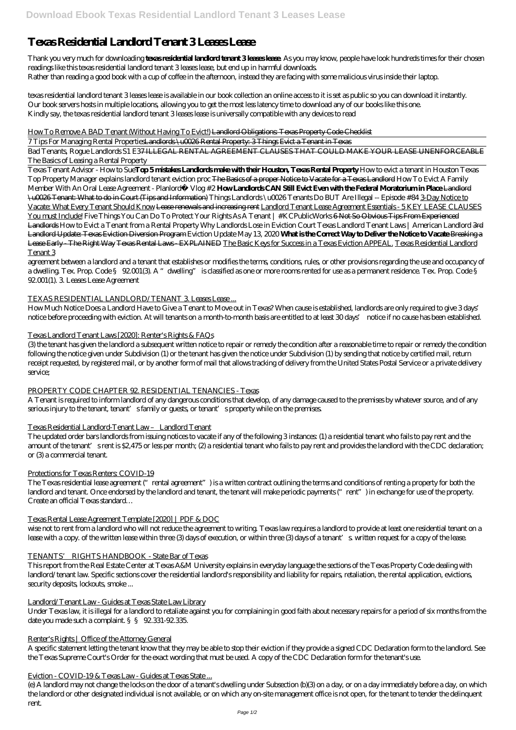# **Texas Residential Landlord Tenant 3 Leases Lease**

Thank you very much for downloading **texas residential landlord tenant 3 leases lease**. As you may know, people have look hundreds times for their chosen readings like this texas residential landlord tenant 3 leases lease, but end up in harmful downloads. Rather than reading a good book with a cup of coffee in the afternoon, instead they are facing with some malicious virus inside their laptop.

texas residential landlord tenant 3 leases lease is available in our book collection an online access to it is set as public so you can download it instantly. Our book servers hosts in multiple locations, allowing you to get the most less latency time to download any of our books like this one. Kindly say, the texas residential landlord tenant 3 leases lease is universally compatible with any devices to read

### How To Remove A BAD Tenant (Without Having To Evict!) Landlord Obligations: Texas Property Code Checklist

7 Tips For Managing Rental PropertiesLandlords \u0026 Rental Property: 3 Things Evict a Tenant in Texas

Bad Tenants, Rogue Landlords S1 E37 ILLEGAL RENTAL AGREEMENT CLAUSES THAT COULD MAKE YOUR LEASE UNENFORCEABLE *The Basics of Leasing a Rental Property*

Texas Tenant Advisor - How to Sue**Top 5 mistakes Landlords make with their Houston, Texas Rental Property** *How to evict a tenant in Houston Texas Top Property Manager explains landlord tenant eviction proc* The Basics of a proper Notice to Vacate for a Texas Landlord How To Evict A Family Member With An Oral Lease Agreement - Planlord® Vlog #2 **How Landlords CAN Still Evict Even with the Federal Moratorium in Place** Landlord \u0026 Tenant: What to do in Court (Tips and Information) *Things Landlords \u0026 Tenants Do BUT Are Illegal -- Episode #84* 3-Day Notice to Vacate: What Every Tenant Should Know Lease renewals and increasing rent Landlord Tenant Lease Agreement Essentials - 5 KEY LEASE CLAUSES You must Include! *Five Things You Can Do To Protect Your Rights As A Tenant | #KCPublicWorks* 6 Not So Obvious Tips From Experienced Landlords *How to Evict a Tenant from a Rental Property Why Landlords Lose in Eviction Court Texas Landlord Tenant Laws | American Landlord* 3rd Landlord Update: Texas Eviction Diversion Program Eviction Update May 13, 2020 **What is the Correct Way to Deliver the Notice to Vacate** Breaking a Lease Early - The Right Way Texas Rental Laws - EXPLAINED The Basic Keys for Success in a Texas Eviction APPEAL. Texas Residential Landlord Tenant 3

A Tenant is required to inform landlord of any dangerous conditions that develop, of any damage caused to the premises by whatever source, and of any serious injury to the tenant, tenant' sfamily or guests, or tenant' sproperty while on the premises.

wise not to rent from a landlord who will not reduce the agreement to writing. Texas law requires a landlord to provide at least one residential tenant on a lease with a copy. of the written lease within three (3) days of execution, or within three (3) days of a tenant's written request for a copy of the lease.

agreement between a landlord and a tenant that establishes or modifies the terms, conditions, rules, or other provisions regarding the use and occupancy of a dwelling. Tex. Prop. Code § 92.001(3). A "dwelling" is classified as one or more rooms rented for use as a permanent residence. Tex. Prop. Code § 92.001(1). 3. Leases Lease Agreement

### TEXAS RESIDENTIAL LANDLORD/TENANT 3. Leases Lease ...

How Much Notice Does a Landlord Have to Give a Tenant to Move out in Texas? When cause is established, landlords are only required to give 3 days' notice before proceeding with eviction. At will tenants on a month-to-month basis are entitled to at least 30 days' notice if no cause has been established.

# Texas Landlord Tenant Laws [2020]: Renter's Rights & FAQs

(3) the tenant has given the landlord a subsequent written notice to repair or remedy the condition after a reasonable time to repair or remedy the condition following the notice given under Subdivision (1) or the tenant has given the notice under Subdivision (1) by sending that notice by certified mail, return receipt requested, by registered mail, or by another form of mail that allows tracking of delivery from the United States Postal Service or a private delivery service;

# PROPERTY CODE CHAPTER 92. RESIDENTIAL TENANCIES - Texas

# Texas Residential Landlord-Tenant Law – Landlord Tenant

The updated order bars landlords from issuing notices to vacate if any of the following 3 instances: (1) a residential tenant who fails to pay rent and the amount of the tenant' srent is \$2,475 or less per month; (2) a residential tenant who fails to pay rent and provides the landlord with the CDC declaration; or (3) a commercial tenant.

# Protections for Texas Renters: COVID-19

The Texas residential lease agreement ("rental agreement") is a written contract outlining the terms and conditions of renting a property for both the landlord and tenant. Once endorsed by the landlord and tenant, the tenant will make periodic payments ("rent") in exchange for use of the property. Create an official Texas standard…

# Texas Rental Lease Agreement Template [2020] | PDF & DOC

#### TENANTS' RIGHTS HANDBOOK - State Bar of Texas

This report from the Real Estate Center at Texas A&M University explains in everyday language the sections of the Texas Property Code dealing with landlord/tenant law. Specific sections cover the residential landlord's responsibility and liability for repairs, retaliation, the rental application, evictions, security deposits, lockouts, smoke ...

### Landlord/Tenant Law - Guides at Texas State Law Library

Under Texas law, it is illegal for a landlord to retaliate against you for complaining in good faith about necessary repairs for a period of six months from the date you made such a complaint. §§ 92.331-92.335.

#### Renter's Rights | Office of the Attorney General

A specific statement letting the tenant know that they may be able to stop their eviction if they provide a signed CDC Declaration form to the landlord. See the Texas Supreme Court's Order for the exact wording that must be used. A copy of the CDC Declaration form for the tenant's use.

#### Eviction - COVID-19 & Texas Law - Guides at Texas State ...

(e) A landlord may not change the locks on the door of a tenant's dwelling under Subsection (b)(3) on a day, or on a day immediately before a day, on which the landlord or other designated individual is not available, or on which any on-site management office is not open, for the tenant to tender the delinquent rent.